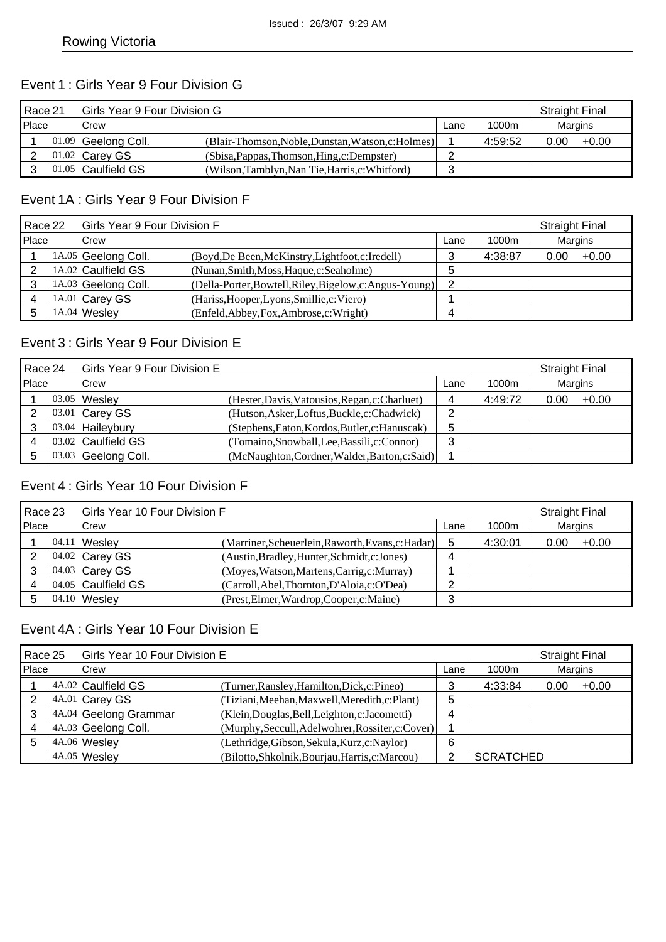## Event 1 : Girls Year 9 Four Division G

| Race 21 |  |                       | Girls Year 9 Four Division G                       |      |         |         |         |  |
|---------|--|-----------------------|----------------------------------------------------|------|---------|---------|---------|--|
| Place   |  | Crew                  |                                                    | Lane | 1000m   | Margins |         |  |
|         |  | $01.09$ Geelong Coll. | (Blair-Thomson, Noble, Dunstan, Watson, c: Holmes) |      | 4:59:52 | 0.00    | $+0.00$ |  |
|         |  | 01.02 Carey GS        | (Sbisa, Pappas, Thomson, Hing, c: Dempster)        |      |         |         |         |  |
|         |  | 01.05 Caulfield GS    | (Wilson,Tamblyn,Nan Tie,Harris,c:Whitford)         | າ    |         |         |         |  |

#### Event 1A : Girls Year 9 Four Division F

| Race 22 |  | Girls Year 9 Four Division F |                                                         |        |         |         | <b>Straight Final</b> |  |
|---------|--|------------------------------|---------------------------------------------------------|--------|---------|---------|-----------------------|--|
| Place   |  | Crew                         |                                                         | Lane   | 1000m   | Margins |                       |  |
|         |  | 1A.05 Geelong Coll.          | (Boyd, De Been, McKinstry, Lightfoot, c: Iredell)       | ົ<br>C | 4:38:87 | 0.00    | $+0.00$               |  |
|         |  | 1A.02 Caulfield GS           | (Nunan, Smith, Moss, Haque, c: Seaholme)                | 5      |         |         |                       |  |
|         |  | 1A.03 Geelong Coll.          | (Della-Porter, Bowtell, Riley, Bigelow, c: Angus-Young) | 2      |         |         |                       |  |
|         |  | 1A.01 Carey GS               | (Hariss, Hooper, Lyons, Smillie, c: Viero)              |        |         |         |                       |  |
|         |  | 1A.04 Wesley                 | (Enfeld, Abbey, Fox, Ambrose, c: Wright)                | 4      |         |         |                       |  |

### Event 3 : Girls Year 9 Four Division E

| Race 24 | Girls Year 9 Four Division E |                                                |        |         | <b>Straight Final</b> |         |
|---------|------------------------------|------------------------------------------------|--------|---------|-----------------------|---------|
| Place   | Crew                         |                                                | Lane   | 1000m   | Margins               |         |
|         | 03.05 Wesley                 | (Hester, Davis, Vatousios, Regan, c: Charluet) | 4      | 4:49:72 | 0.00                  | $+0.00$ |
|         | 03.01 Carey GS               | (Hutson, Asker, Loftus, Buckle, c: Chadwick)   | ◠      |         |                       |         |
|         | 03.04 Haileybury             | (Stephens, Eaton, Kordos, Butler, c: Hanuscak) | 5      |         |                       |         |
|         | 03.02 Caulfield GS           | (Tomaino, Snowball, Lee, Bassili, c: Connor)   | っ<br>د |         |                       |         |
| b       | 03.03 Geelong Coll.          | (McNaughton, Cordner, Walder, Barton, c: Said) |        |         |                       |         |

### Event 4 : Girls Year 10 Four Division F

| Race 23 |  | Girls Year 10 Four Division F |                                                   |      |         |         | <b>Straight Final</b> |  |
|---------|--|-------------------------------|---------------------------------------------------|------|---------|---------|-----------------------|--|
| Place   |  | Crew                          |                                                   | Lane | 1000m   | Margins |                       |  |
|         |  | 04.11 Wesley                  | (Marriner, Scheuerlein, Raworth, Evans, c: Hadar) | 5    | 4:30:01 | 0.00    | $+0.00$               |  |
|         |  | 04.02 Carey GS                | (Austin, Bradley, Hunter, Schmidt, c: Jones)      | 4    |         |         |                       |  |
|         |  | 04.03 Carey GS                | (Moyes, Watson, Martens, Carrig, c: Murray)       |      |         |         |                       |  |
|         |  | 04.05 Caulfield GS            | (Carroll, Abel, Thornton, D'Aloia, c: O'Dea)      | ◠    |         |         |                       |  |
|         |  | 04.10 Wesley                  | (Prest, Elmer, Wardrop, Cooper, c: Maine)         | 3    |         |         |                       |  |

#### Event 4A : Girls Year 10 Four Division E

| Race 25 | Girls Year 10 Four Division E |                                                   |      |                  |         | <b>Straight Final</b> |  |
|---------|-------------------------------|---------------------------------------------------|------|------------------|---------|-----------------------|--|
| Place   | Crew                          |                                                   | Lane | 1000m            | Margins |                       |  |
|         | 4A.02 Caulfield GS            | (Turner, Ransley, Hamilton, Dick, c: Pineo)       | 3    | 4:33:84          | 0.00    | $+0.00$               |  |
|         | 4A.01 Carey GS                | (Tiziani, Meehan, Maxwell, Meredith, c: Plant)    | 5    |                  |         |                       |  |
|         | 4A.04 Geelong Grammar         | (Klein, Douglas, Bell, Leighton, c: Jacometti)    | 4    |                  |         |                       |  |
|         | 4A.03 Geelong Coll.           | (Murphy, Seccull, Adelwohrer, Rossiter, c: Cover) |      |                  |         |                       |  |
|         | 4A.06 Wesley                  | (Lethridge, Gibson, Sekula, Kurz, c: Naylor)      | 6    |                  |         |                       |  |
|         | 4A.05 Wesley                  | (Bilotto, Shkolnik, Bourjau, Harris, c: Marcou)   | າ    | <b>SCRATCHED</b> |         |                       |  |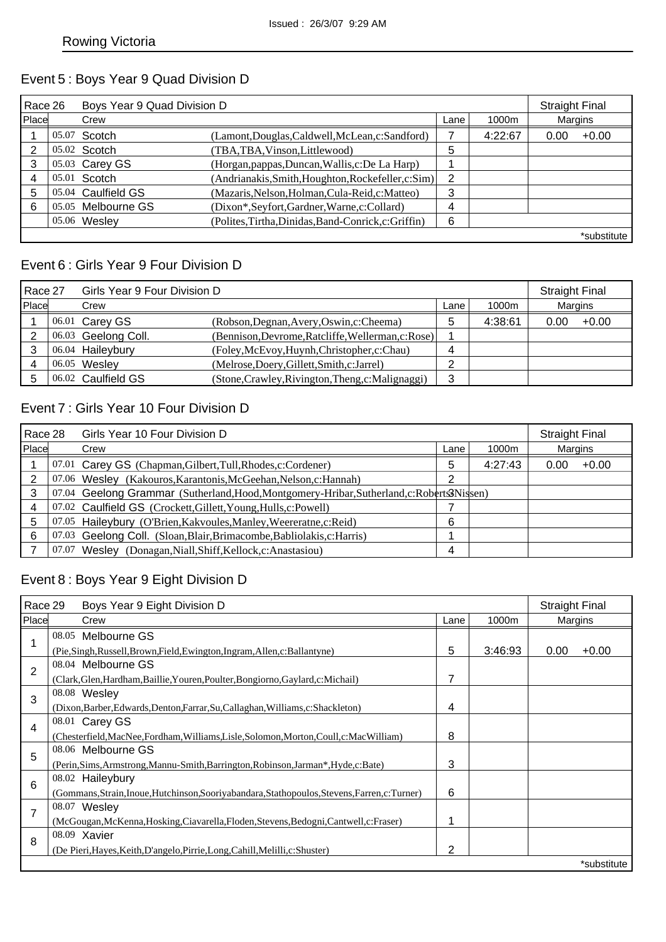#### Event 5 : Boys Year 9 Quad Division D

| Race 26 |       | Boys Year 9 Quad Division D |                                                      |      |         | <b>Straight Final</b> |             |
|---------|-------|-----------------------------|------------------------------------------------------|------|---------|-----------------------|-------------|
| Place   |       | Crew                        |                                                      | Lane | 1000m   | Margins               |             |
|         | 05.07 | Scotch                      | (Lamont, Douglas, Caldwell, McLean, c: Sandford)     |      | 4:22:67 | 0.00                  | $+0.00$     |
| 2       |       | 05.02 Scotch                | (TBA,TBA,Vinson,Littlewood)                          | 5    |         |                       |             |
| 3       |       | 05.03 Carey GS              | (Horgan, pappas, Duncan, Wallis, c: De La Harp)      |      |         |                       |             |
| 4       |       | $05.01$ Scotch              | (Andrianakis, Smith, Houghton, Rockefeller, c: Sim)  | 2    |         |                       |             |
| 5       |       | 05.04 Caulfield GS          | (Mazaris, Nelson, Holman, Cula-Reid, c: Matteo)      | 3    |         |                       |             |
| 6       |       | 05.05 Melbourne GS          | (Dixon*, Seyfort, Gardner, Warne, c: Collard)        | 4    |         |                       |             |
|         |       | 05.06 Wesley                | (Polites, Tirtha, Dinidas, Band-Conrick, c: Griffin) | 6    |         |                       |             |
|         |       |                             |                                                      |      |         |                       | *substitute |

#### Event 6 : Girls Year 9 Four Division D

| Race 27 |  | Girls Year 9 Four Division D |                                                    |            |         |         | <b>Straight Final</b> |  |
|---------|--|------------------------------|----------------------------------------------------|------------|---------|---------|-----------------------|--|
| Place   |  | Crew                         |                                                    | Lane       | 1000m   | Margins |                       |  |
|         |  | 06.01 Carey GS               | (Robson, Degnan, Avery, Oswin, c: Cheema)          | 5          | 4:38:61 | 0.00    | $+0.00$               |  |
|         |  | 06.03 Geelong Coll.          | (Bennison, Devrome, Ratcliffe, Wellerman, c: Rose) |            |         |         |                       |  |
|         |  | 06.04 Haileybury             | (Foley, McEvoy, Huynh, Christopher, c: Chau)       | 4          |         |         |                       |  |
|         |  | $06.05$ Wesley               | (Melrose, Doery, Gillett, Smith, c: Jarrel)        | $\sqrt{2}$ |         |         |                       |  |
|         |  | 06.02 Caulfield GS           | (Stone, Crawley, Rivington, Theng, c: Malignaggi)  | 3          |         |         |                       |  |

#### Event 7 : Girls Year 10 Four Division D

| Race 28 |       | Girls Year 10 Four Division D                                                              |      |         |         |         |  |
|---------|-------|--------------------------------------------------------------------------------------------|------|---------|---------|---------|--|
| Place   |       | Crew                                                                                       | Lane | 1000m   | Margins |         |  |
|         |       | 07.01 Carey GS (Chapman, Gilbert, Tull, Rhodes, c: Cordener)                               | 5    | 4:27:43 | 0.00    | $+0.00$ |  |
|         |       | 07.06 Wesley (Kakouros, Karantonis, McGeehan, Nelson, c: Hannah)                           | っ    |         |         |         |  |
|         |       | 07.04 Geelong Grammar (Sutherland, Hood, Montgomery-Hribar, Sutherland, c: Roberts3Nissen) |      |         |         |         |  |
|         |       | 07.02 Caulfield GS (Crockett, Gillett, Young, Hulls, c: Powell)                            |      |         |         |         |  |
| 5       |       | 07.05 Haileybury (O'Brien, Kakvoules, Manley, Weereratne, c: Reid)                         | 6    |         |         |         |  |
| 6       |       | 07.03 Geelong Coll. (Sloan, Blair, Brimacombe, Babliolakis, c: Harris)                     |      |         |         |         |  |
|         | 07.07 | Wesley (Donagan, Niall, Shiff, Kellock, c: Anastasiou)                                     | 4    |         |         |         |  |

#### Event 8 : Boys Year 9 Eight Division D

| Race 29        | Boys Year 9 Eight Division D                                                                   |      |         | <b>Straight Final</b> |                |
|----------------|------------------------------------------------------------------------------------------------|------|---------|-----------------------|----------------|
| Place          | Crew                                                                                           | Lane | 1000m   |                       | <b>Margins</b> |
|                | 08.05 Melbourne GS                                                                             |      |         |                       |                |
|                | (Pie, Singh, Russell, Brown, Field, Ewington, Ingram, Allen, c: Ballantyne)                    | 5    | 3:46:93 | 0.00                  | $+0.00$        |
| $\overline{2}$ | 08.04 Melbourne GS                                                                             |      |         |                       |                |
|                | (Clark, Glen, Hardham, Baillie, Youren, Poulter, Bongiorno, Gaylard, c: Michail)               | 7    |         |                       |                |
| 3              | 08.08 Wesley                                                                                   |      |         |                       |                |
|                | (Dixon, Barber, Edwards, Denton, Farrar, Su, Callaghan, Williams, c: Shackleton)               | 4    |         |                       |                |
|                | 08.01 Carey GS                                                                                 |      |         |                       |                |
| 4              | (Chesterfield, MacNee, Fordham, Williams, Lisle, Solomon, Morton, Coull, c: MacWilliam)        | 8    |         |                       |                |
| 5              | 08.06 Melbourne GS                                                                             |      |         |                       |                |
|                | (Perin, Sims, Armstrong, Mannu-Smith, Barrington, Robinson, Jarman*, Hyde, c: Bate)            | 3    |         |                       |                |
| 6              | 08.02 Haileybury                                                                               |      |         |                       |                |
|                | (Gommans, Strain, Inoue, Hutchinson, Sooriyabandara, Stathopoulos, Stevens, Farren, c: Turner) | 6    |         |                       |                |
| 7              | 08.07 Wesley                                                                                   |      |         |                       |                |
|                | (McGougan, McKenna, Hosking, Ciavarella, Floden, Stevens, Bedogni, Cantwell, c: Fraser)        | 1    |         |                       |                |
| 8              | 08.09 Xavier                                                                                   |      |         |                       |                |
|                | (De Pieri, Hayes, Keith, D'angelo, Pirrie, Long, Cahill, Melilli, c: Shuster)                  | 2    |         |                       |                |
|                |                                                                                                |      |         |                       | *substitute    |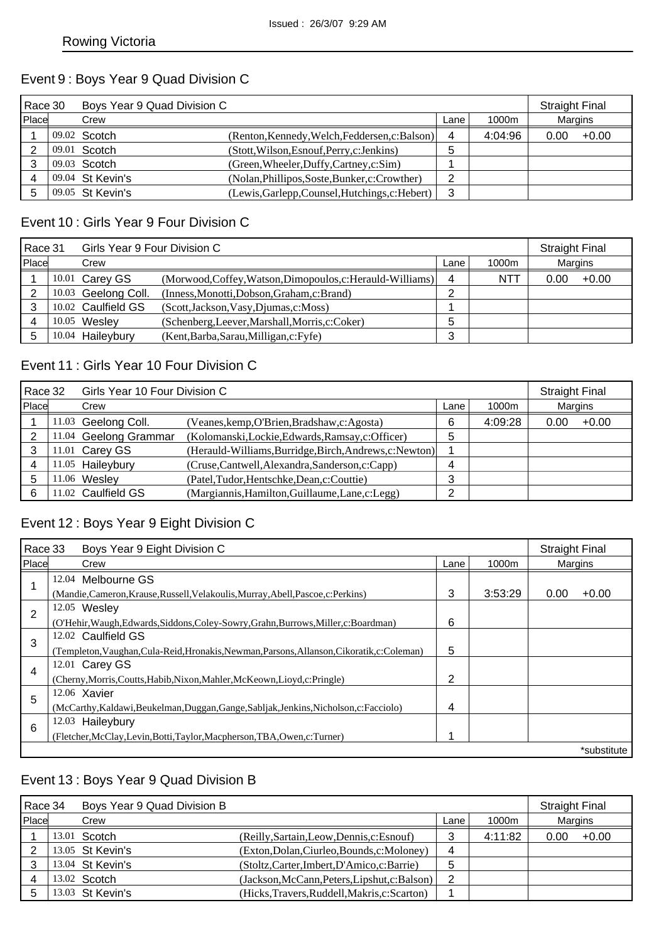### Event 9 : Boys Year 9 Quad Division C

| Race 30 |  | Boys Year 9 Quad Division C |                                                 |        |         |         | <b>Straight Final</b> |
|---------|--|-----------------------------|-------------------------------------------------|--------|---------|---------|-----------------------|
| Place   |  | Crew                        |                                                 | Lane   | 1000m   | Margins |                       |
|         |  | 09.02 Scotch                | (Renton, Kennedy, Welch, Feddersen, c: Balson)  | 4      | 4:04:96 | 0.00    | $+0.00$               |
|         |  | 09.01 Scotch                | (Stott, Wilson, Esnouf, Perry, c: Jenkins)      | 5      |         |         |                       |
|         |  | 09.03 Scotch                | (Green, Wheeler, Duffy, Cartney, c: Sim)        |        |         |         |                       |
|         |  | 09.04 St Kevin's            | (Nolan, Phillipos, Soste, Bunker, c: Crowther)  | ົ<br>∼ |         |         |                       |
|         |  | 09.05 St Kevin's            | (Lewis, Garlepp, Counsel, Hutchings, c: Hebert) | 3      |         |         |                       |

#### Event 10 : Girls Year 9 Four Division C

| Race 31 |       | Girls Year 9 Four Division C |                                                            |      |            |         | <b>Straight Final</b> |
|---------|-------|------------------------------|------------------------------------------------------------|------|------------|---------|-----------------------|
| Place   |       | Crew                         |                                                            | Lane | 1000m      | Margins |                       |
|         |       | 10.01 Carey GS               | (Morwood, Coffey, Watson, Dimopoulos, c: Herauld-Williams) | 4    | <b>NTT</b> | 0.00    | $+0.00$               |
|         |       | 10.03 Geelong Coll.          | (Inness, Monotti, Dobson, Graham, c: Brand)                | ⌒    |            |         |                       |
|         |       | 10.02 Caulfield GS           | (Scott, Jackson, Vasy, Djumas, c: Moss)                    |      |            |         |                       |
|         |       | 10.05 Wesley                 | (Schenberg, Leever, Marshall, Morris, c: Coker)            | 5    |            |         |                       |
| 5       | 10.04 | Haileybury                   | (Kent, Barba, Sarau, Milligan, c: Fyfe)                    | 3    |            |         |                       |

### Event 11 : Girls Year 10 Four Division C

| Race 32 | Girls Year 10 Four Division C |                                                         |      |         |         | <b>Straight Final</b> |
|---------|-------------------------------|---------------------------------------------------------|------|---------|---------|-----------------------|
| Place   | Crew                          |                                                         | Lane | 1000m   | Margins |                       |
|         | 11.03 Geelong Coll.           | (Veanes, kemp, O'Brien, Bradshaw, c: Agosta)            | 6    | 4:09:28 | 0.00    | $+0.00$               |
|         | 11.04 Geelong Grammar         | (Kolomanski,Lockie,Edwards,Ramsay,c:Officer)            | 5    |         |         |                       |
|         | 11.01 Carey GS                | (Herauld-Williams, Burridge, Birch, Andrews, c: Newton) |      |         |         |                       |
|         | 11.05 Haileybury              | (Cruse,Cantwell,Alexandra,Sanderson,c:Capp)             | 4    |         |         |                       |
|         | 11.06 Wesley                  | (Patel, Tudor, Hentschke, Dean, c: Couttie)             | 3    |         |         |                       |
| 6       | 11.02 Caulfield GS            | (Margiannis, Hamilton, Guillaume, Lane, c: Legg)        | ⌒    |         |         |                       |

## Event 12 : Boys Year 9 Eight Division C

| Race 33<br>Boys Year 9 Eight Division C |                                                                                             |      |         | <b>Straight Final</b> |         |  |  |  |  |
|-----------------------------------------|---------------------------------------------------------------------------------------------|------|---------|-----------------------|---------|--|--|--|--|
| Place                                   | Crew                                                                                        | Lane | 1000m   | Margins               |         |  |  |  |  |
|                                         | 12.04 Melbourne GS                                                                          |      |         |                       |         |  |  |  |  |
|                                         | (Mandie, Cameron, Krause, Russell, Velakoulis, Murray, Abell, Pascoe, c: Perkins)           | 3    | 3:53:29 | 0.00                  | $+0.00$ |  |  |  |  |
| 2                                       | 12.05 Wesley                                                                                |      |         |                       |         |  |  |  |  |
|                                         | (O'Hehir, Waugh, Edwards, Siddons, Coley-Sowry, Grahn, Burrows, Miller, c: Boardman)        | 6    |         |                       |         |  |  |  |  |
| 3                                       | 12.02 Caulfield GS                                                                          |      |         |                       |         |  |  |  |  |
|                                         | (Templeton, Vaughan, Cula-Reid, Hronakis, Newman, Parsons, Allanson, Cikoratik, c: Coleman) | 5    |         |                       |         |  |  |  |  |
| 4                                       | 12.01 Carey GS                                                                              |      |         |                       |         |  |  |  |  |
|                                         | (Cherny, Morris, Coutts, Habib, Nixon, Mahler, McKeown, Lioyd, c: Pringle)                  | 2    |         |                       |         |  |  |  |  |
| 5                                       | 12.06 Xavier                                                                                |      |         |                       |         |  |  |  |  |
|                                         | (McCarthy, Kaldawi, Beukelman, Duggan, Gange, Sabljak, Jenkins, Nicholson, c: Facciolo)     | 4    |         |                       |         |  |  |  |  |
| 6                                       | 12.03 Haileybury                                                                            |      |         |                       |         |  |  |  |  |
|                                         | (Fletcher, McClay, Levin, Botti, Taylor, Macpherson, TBA, Owen, c: Turner)                  |      |         |                       |         |  |  |  |  |
|                                         | *substitute                                                                                 |      |         |                       |         |  |  |  |  |

### Event 13 : Boys Year 9 Quad Division B

| Race 34 |  | Boys Year 9 Quad Division B |                                               |      |         | <b>Straight Final</b> |         |
|---------|--|-----------------------------|-----------------------------------------------|------|---------|-----------------------|---------|
| Place   |  | Crew                        |                                               | Lane | 1000m   | Margins               |         |
|         |  | $13.01$ Scotch              | (Reilly, Sartain, Leow, Dennis, c: Esnouf)    |      | 4:11:82 | 0.00                  | $+0.00$ |
|         |  | 13.05 St Kevin's            | (Exton, Dolan, Ciurleo, Bounds, c: Moloney)   | 4    |         |                       |         |
|         |  | 13.04 St Kevin's            | (Stoltz, Carter, Imbert, D'Amico, c: Barrie)  | 5    |         |                       |         |
| 4       |  | 13.02 Scotch                | (Jackson, McCann, Peters, Lipshut, c: Balson) | 2    |         |                       |         |
| 5       |  | 13.03 St Kevin's            | (Hicks, Travers, Ruddell, Makris, c: Scarton) |      |         |                       |         |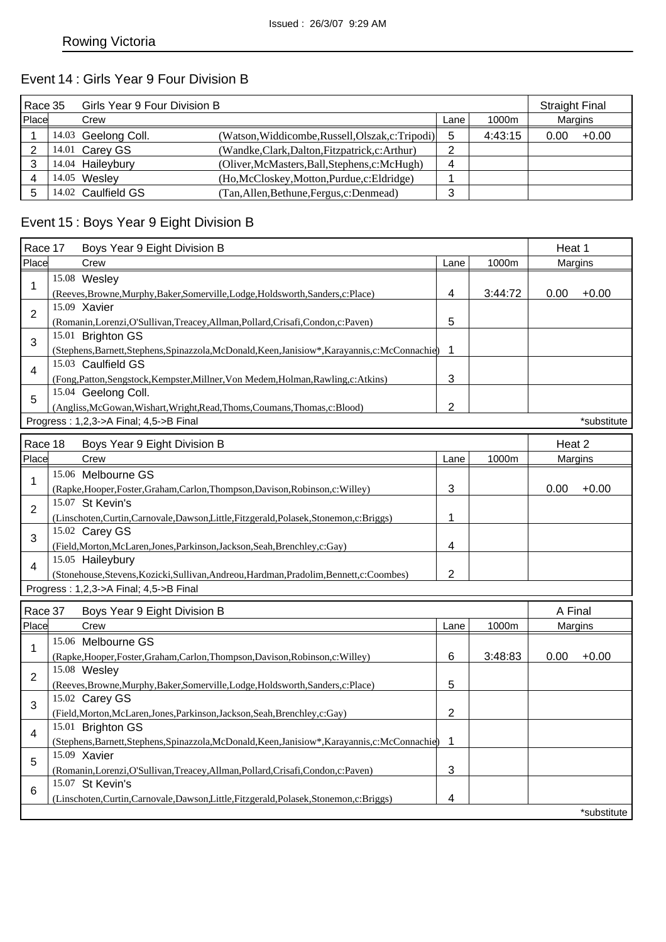### Event 14 : Girls Year 9 Four Division B

| Race 35 |  | Girls Year 9 Four Division B |                                                   |        |         |         | <b>Straight Final</b> |  |
|---------|--|------------------------------|---------------------------------------------------|--------|---------|---------|-----------------------|--|
| Place   |  | Crew                         |                                                   | Lane   | 1000m   | Margins |                       |  |
|         |  | 14.03 Geelong Coll.          | (Watson, Widdicombe, Russell, Olszak, c: Tripodi) | 5      | 4:43:15 | 0.00    | $+0.00$               |  |
|         |  | 14.01 Carey GS               | (Wandke,Clark,Dalton,Fitzpatrick,c:Arthur)        | ົ<br>∼ |         |         |                       |  |
|         |  | 14.04 Haileybury             | (Oliver, McMasters, Ball, Stephens, c: McHugh)    | 4      |         |         |                       |  |
|         |  | 14.05 Wesley                 | (Ho, McCloskey, Motton, Purdue, c: Eldridge)      |        |         |         |                       |  |
|         |  | 14.02 Caulfield GS           | (Tan, Allen, Bethune, Fergus, c: Denmead)         | ົ<br>ື |         |         |                       |  |

# Event 15 : Boys Year 9 Eight Division B

| Race 17        | Boys Year 9 Eight Division B                                                                     |                | Heat 1  |         |             |
|----------------|--------------------------------------------------------------------------------------------------|----------------|---------|---------|-------------|
| Place          | Crew                                                                                             | Lane           | 1000m   | Margins |             |
| $\mathbf{1}$   | 15.08 Wesley                                                                                     |                |         |         |             |
|                | (Reeves, Browne, Murphy, Baker, Somerville, Lodge, Holdsworth, Sanders, c: Place)                | 4              | 3:44:72 | 0.00    | $+0.00$     |
| $\overline{2}$ | 15.09 Xavier                                                                                     |                |         |         |             |
|                | (Romanin, Lorenzi, O'Sullivan, Treacey, Allman, Pollard, Crisafi, Condon, c: Paven)              | 5              |         |         |             |
| 3              | 15.01 Brighton GS                                                                                |                |         |         |             |
|                | (Stephens, Barnett, Stephens, Spinazzola, McDonald, Keen, Janisiow*, Karayannis, c: McConnachie) | 1              |         |         |             |
| 4              | 15.03 Caulfield GS                                                                               |                |         |         |             |
|                | (Fong, Patton, Sengstock, Kempster, Millner, Von Medem, Holman, Rawling, c: Atkins)              | 3              |         |         |             |
| 5              | 15.04 Geelong Coll.                                                                              |                |         |         |             |
|                | (Angliss, McGowan, Wishart, Wright, Read, Thoms, Coumans, Thomas, c: Blood)                      | $\overline{2}$ |         |         |             |
|                | Progress: 1,2,3->A Final; 4,5->B Final                                                           |                |         |         | *substitute |
| Race 18        | Boys Year 9 Eight Division B                                                                     |                |         | Heat 2  |             |
| Place          | Crew                                                                                             | Lane           | 1000m   | Margins |             |
|                | 15.06 Melbourne GS                                                                               |                |         |         |             |
| 1              | (Rapke, Hooper, Foster, Graham, Carlon, Thompson, Davison, Robinson, c: Willey)                  | 3              |         | 0.00    | $+0.00$     |
|                | 15.07 St Kevin's                                                                                 |                |         |         |             |
| 2              | (Linschoten, Curtin, Carnovale, Dawson, Little, Fitzgerald, Polasek, Stonemon, c: Briggs)        | 1              |         |         |             |
|                | 15.02 Carey GS                                                                                   |                |         |         |             |
| 3              | (Field, Morton, McLaren, Jones, Parkinson, Jackson, Seah, Brenchley, c: Gay)                     | 4              |         |         |             |
|                | 15.05 Haileybury                                                                                 |                |         |         |             |
| 4              | (Stonehouse,Stevens,Kozicki,Sullivan,Andreou,Hardman,Pradolim,Bennett,c:Coombes)                 | $\overline{2}$ |         |         |             |
|                | Progress: 1,2,3->A Final; 4,5->B Final                                                           |                |         |         |             |
|                |                                                                                                  |                |         |         |             |
| Race 37        | Boys Year 9 Eight Division B                                                                     |                |         | A Final |             |
| Place          | Crew                                                                                             | Lane           | 1000m   | Margins |             |
| 1              | 15.06 Melbourne GS                                                                               |                |         |         |             |
|                | (Rapke, Hooper, Foster, Graham, Carlon, Thompson, Davison, Robinson, c: Willey)                  | 6              | 3:48:83 | 0.00    | $+0.00$     |
| 2              | 15.08 Wesley                                                                                     |                |         |         |             |
|                | (Reeves, Browne, Murphy, Baker, Somerville, Lodge, Holdsworth, Sanders, c: Place)                | 5              |         |         |             |
| 3              | 15.02 Carey GS                                                                                   |                |         |         |             |
|                | (Field, Morton, McLaren, Jones, Parkinson, Jackson, Seah, Brenchley, c: Gay)                     | $\overline{2}$ |         |         |             |
| 4              | 15.01 Brighton GS                                                                                |                |         |         |             |
|                | (Stephens, Barnett, Stephens, Spinazzola, McDonald, Keen, Janisiow*, Karayannis, c: McConnachie) | 1              |         |         |             |
| 5              | 15.09 Xavier                                                                                     |                |         |         |             |
|                | (Romanin, Lorenzi, O'Sullivan, Treacey, Allman, Pollard, Crisafi, Condon, c: Paven)              | 3              |         |         |             |
| 6              | 15.07 St Kevin's                                                                                 |                |         |         |             |
|                | (Linschoten, Curtin, Carnovale, Dawson, Little, Fitzgerald, Polasek, Stonemon, c: Briggs)        | 4              |         |         |             |
|                |                                                                                                  |                |         |         | *substitute |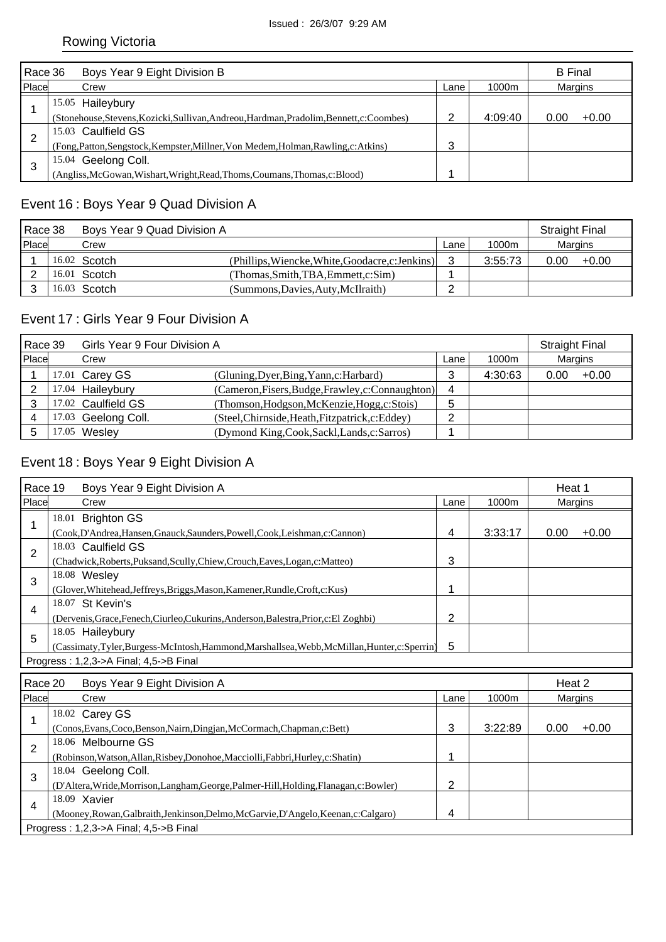| Race 36 | Boys Year 9 Eight Division B                                                              |      |         | <b>B</b> Final |         |
|---------|-------------------------------------------------------------------------------------------|------|---------|----------------|---------|
| Place   | Crew                                                                                      | Lane | 1000m   | Margins        |         |
|         | 15.05 Haileybury                                                                          |      |         |                |         |
|         | (Stonehouse, Stevens, Kozicki, Sullivan, Andreou, Hardman, Pradolim, Bennett, c: Coombes) | ⌒    | 4:09:40 | 0.00           | $+0.00$ |
| 2       | 15.03 Caulfield GS                                                                        |      |         |                |         |
|         | (Fong, Patton, Sengstock, Kempster, Millner, Von Medem, Holman, Rawling, c: Atkins)       | 3    |         |                |         |
| 3       | 15.04 Geelong Coll.                                                                       |      |         |                |         |
|         | (Angliss, McGowan, Wishart, Wright, Read, Thoms, Coumans, Thomas, c: Blood)               |      |         |                |         |

## Event 16 : Boys Year 9 Quad Division A

| Race 38 |  | Boys Year 9 Quad Division A |                                                  |      |         | <b>Straight Final</b> |         |
|---------|--|-----------------------------|--------------------------------------------------|------|---------|-----------------------|---------|
| Place   |  | Crew                        |                                                  | Lane | 1000m   | Margins               |         |
|         |  | $16.02$ Scotch              | (Phillips, Wiencke, White, Goodacre, c: Jenkins) |      | 3:55:73 | 0.00                  | $+0.00$ |
|         |  | 16.01 Scotch                | (Thomas.Smith.TBA.Emmett.c:Sim)                  |      |         |                       |         |
|         |  | 16.03 Scotch                | (Summons, Davies, Auty, McIlraith)               | ⌒    |         |                       |         |

### Event 17 : Girls Year 9 Four Division A

| Race 39 |  | Girls Year 9 Four Division A |                                                   |        |         |         | <b>Straight Final</b> |  |
|---------|--|------------------------------|---------------------------------------------------|--------|---------|---------|-----------------------|--|
| Place   |  | Crew                         |                                                   | Lane   | 1000m   | Margins |                       |  |
|         |  | 17.01 Carey GS               | (Gluning, Dyer, Bing, Yann, c: Harbard)           | 3      | 4:30:63 | 0.00    | $+0.00$               |  |
|         |  | 17.04 Haileybury             | (Cameron, Fisers, Budge, Frawley, c: Connaughton) | 4      |         |         |                       |  |
|         |  | 17.02 Caulfield GS           | (Thomson, Hodgson, McKenzie, Hogg, c: Stois)      | 5      |         |         |                       |  |
|         |  | 17.03 Geelong Coll.          | (Steel, Chirnside, Heath, Fitzpatrick, c: Eddey)  | ⌒<br>_ |         |         |                       |  |
|         |  | 1.05 Wesley                  | (Dymond King, Cook, Sackl, Lands, c: Sarros)      |        |         |         |                       |  |

## Event 18 : Boys Year 9 Eight Division A

| Race 19                                | Boys Year 9 Eight Division A                                                          |      |         | Heat 1  |         |
|----------------------------------------|---------------------------------------------------------------------------------------|------|---------|---------|---------|
| Place                                  | Crew                                                                                  | Lane | 1000m   | Margins |         |
|                                        | 18.01 Brighton GS                                                                     |      |         |         |         |
|                                        | (Cook,D'Andrea,Hansen,Gnauck,Saunders,Powell,Cook,Leishman,c:Cannon)                  | 4    | 3:33:17 | 0.00    | $+0.00$ |
| $\overline{2}$                         | 18.03 Caulfield GS                                                                    |      |         |         |         |
|                                        | (Chadwick, Roberts, Puksand, Scully, Chiew, Crouch, Eaves, Logan, c: Matteo)          | 3    |         |         |         |
| 3                                      | 18.08 Wesley                                                                          |      |         |         |         |
|                                        | (Glover, Whitehead, Jeffreys, Briggs, Mason, Kamener, Rundle, Croft, c: Kus)          | 1    |         |         |         |
| 4                                      | 18.07 St Kevin's                                                                      |      |         |         |         |
|                                        | (Dervenis, Grace, Fenech, Ciurleo, Cukurins, Anderson, Balestra, Prior, c: El Zoghbi) | 2    |         |         |         |
| 5                                      | 18.05 Haileybury                                                                      |      |         |         |         |
|                                        | (Cassimaty,Tyler,Burgess-McIntosh,Hammond,Marshallsea,Webb,McMillan,Hunter,c:Sperrin) | 5    |         |         |         |
| Progress: 1,2,3->A Final; 4,5->B Final |                                                                                       |      |         |         |         |
|                                        |                                                                                       |      |         |         |         |
|                                        | Race 20<br>Boys Year 9 Eight Division A                                               |      |         | Heat 2  |         |

| <b>RACE ZU</b> | <b>DUVS TEAL 9 EIGHT DIVISION A</b>                                                     |      |         | ⊓eal ∠         |         |  |  |  |
|----------------|-----------------------------------------------------------------------------------------|------|---------|----------------|---------|--|--|--|
| Place          | Crew                                                                                    | Lane | 1000m   | <b>Margins</b> |         |  |  |  |
|                | 18.02 Carey GS                                                                          |      |         |                |         |  |  |  |
|                | (Conos, Evans, Coco, Benson, Nairn, Dingjan, McCormach, Chapman, c: Bett)               | 3    | 3:22:89 | 0.00           | $+0.00$ |  |  |  |
| っ              | 18.06 Melbourne GS                                                                      |      |         |                |         |  |  |  |
|                | (Robinson, Watson, Allan, Risbey, Donohoe, Macciolli, Fabbri, Hurley, c: Shatin)        |      |         |                |         |  |  |  |
| 3              | 18.04 Geelong Coll.                                                                     |      |         |                |         |  |  |  |
|                | (D'Altera, Wride, Morrison, Langham, George, Palmer-Hill, Holding, Flanagan, c: Bowler) | ာ    |         |                |         |  |  |  |
| 4              | 18.09 Xavier                                                                            |      |         |                |         |  |  |  |
|                | (Mooney, Rowan, Galbraith, Jenkinson, Delmo, McGarvie, D'Angelo, Keenan, c: Calgaro)    | 4    |         |                |         |  |  |  |
|                | Progress: 1,2,3->A Final; 4,5->B Final                                                  |      |         |                |         |  |  |  |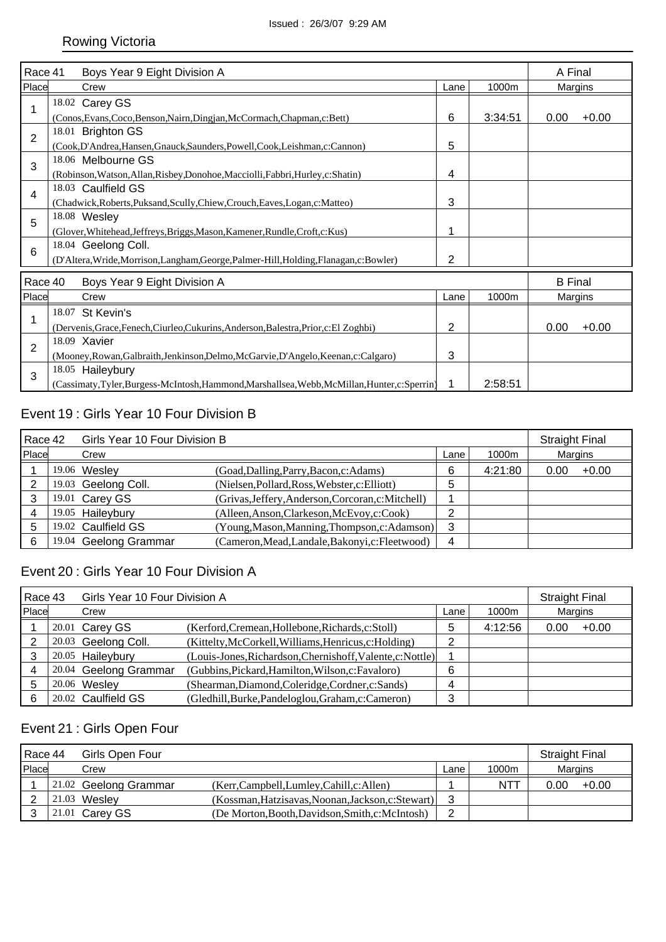| Race 41        |                                                                                                |                |         |                |         |  |  |
|----------------|------------------------------------------------------------------------------------------------|----------------|---------|----------------|---------|--|--|
|                | Boys Year 9 Eight Division A                                                                   |                |         | A Final        |         |  |  |
| Place          | Crew                                                                                           | Lane           | 1000m   | Margins        |         |  |  |
| 1              | 18.02 Carey GS                                                                                 |                |         |                |         |  |  |
|                | (Conos, Evans, Coco, Benson, Nairn, Dingjan, McCormach, Chapman, c: Bett)                      | 6              | 3:34:51 | 0.00           | $+0.00$ |  |  |
| $\overline{2}$ | 18.01 Brighton GS                                                                              |                |         |                |         |  |  |
|                | (Cook, D'Andrea, Hansen, Gnauck, Saunders, Powell, Cook, Leishman, c: Cannon)                  | 5              |         |                |         |  |  |
| 3              | 18.06 Melbourne GS                                                                             |                |         |                |         |  |  |
|                | (Robinson, Watson, Allan, Risbey, Donohoe, Macciolli, Fabbri, Hurley, c: Shatin)               | 4              |         |                |         |  |  |
| 4              | 18.03 Caulfield GS                                                                             |                |         |                |         |  |  |
|                | (Chadwick, Roberts, Puksand, Scully, Chiew, Crouch, Eaves, Logan, c: Matteo)                   | 3              |         |                |         |  |  |
| 5              | 18.08 Wesley                                                                                   |                |         |                |         |  |  |
|                | (Glover, Whitehead, Jeffreys, Briggs, Mason, Kamener, Rundle, Croft, c: Kus)                   | 1              |         |                |         |  |  |
| $6\phantom{1}$ | 18.04 Geelong Coll.                                                                            |                |         |                |         |  |  |
|                | (D'Altera, Wride, Morrison, Langham, George, Palmer-Hill, Holding, Flanagan, c: Bowler)        | 2              |         |                |         |  |  |
| Race 40        | Boys Year 9 Eight Division A                                                                   |                |         | <b>B</b> Final |         |  |  |
| Place          | Crew                                                                                           | Lane           | 1000m   | Margins        |         |  |  |
|                | 18.07 St Kevin's                                                                               |                |         |                |         |  |  |
| 1              | (Dervenis, Grace, Fenech, Ciurleo, Cukurins, Anderson, Balestra, Prior, c: El Zoghbi)          | $\overline{2}$ |         | 0.00           | $+0.00$ |  |  |
| $\overline{2}$ | 18.09 Xavier                                                                                   |                |         |                |         |  |  |
|                | (Mooney, Rowan, Galbraith, Jenkinson, Delmo, McGarvie, D'Angelo, Keenan, c: Calgaro)           | 3              |         |                |         |  |  |
| 3              | 18.05 Haileybury                                                                               |                |         |                |         |  |  |
|                | (Cassimaty, Tyler, Burgess-McIntosh, Hammond, Marshallsea, Webb, McMillan, Hunter, c: Sperrin) | 1              | 2:58:51 |                |         |  |  |

## Event 19 : Girls Year 10 Four Division B

| Race 42 |  | Girls Year 10 Four Division B |                                                    |      |         |         | <b>Straight Final</b> |  |
|---------|--|-------------------------------|----------------------------------------------------|------|---------|---------|-----------------------|--|
| Place   |  | Crew                          |                                                    | Lane | 1000m   | Margins |                       |  |
|         |  | 19.06 Wesley                  | (Goad, Dalling, Parry, Bacon, c: Adams)            | 6    | 4:21:80 | 0.00    | $+0.00$               |  |
|         |  | 19.03 Geelong Coll.           | (Nielsen, Pollard, Ross, Webster, c: Elliott)      | 5    |         |         |                       |  |
|         |  | 19.01 Carey GS                | (Grivas, Jeffery, Anderson, Corcoran, c: Mitchell) |      |         |         |                       |  |
|         |  | 19.05 Haileybury              | (Alleen, Anson, Clarkeson, McEvoy, c: Cook)        | ◠    |         |         |                       |  |
|         |  | 19.02 Caulfield GS            | (Young, Mason, Manning, Thompson, c: Adamson)      | 3    |         |         |                       |  |
| 6       |  | 19.04 Geelong Grammar         | (Cameron, Mead, Landale, Bakonyi, c: Fleetwood)    | 4    |         |         |                       |  |

## Event 20 : Girls Year 10 Four Division A

| Race 43 |  | Girls Year 10 Four Division A |                                                            |              |         | <b>Straight Final</b> |         |
|---------|--|-------------------------------|------------------------------------------------------------|--------------|---------|-----------------------|---------|
| Place   |  | Crew                          |                                                            | Lane         | 1000m   |                       | Margins |
|         |  | 20.01 Carey GS                | (Kerford, Cremean, Hollebone, Richards, c: Stoll)          | <sub>5</sub> | 4:12:56 | 0.00                  | $+0.00$ |
|         |  | 20.03 Geelong Coll.           | (Kittelty, McCorkell, Williams, Henricus, c: Holding)      | 2            |         |                       |         |
|         |  | 20.05 Haileybury              | (Louis-Jones, Richardson, Chernishoff, Valente, c: Nottle) |              |         |                       |         |
|         |  | 20.04 Geelong Grammar         | (Gubbins, Pickard, Hamilton, Wilson, c: Favaloro)          | 6            |         |                       |         |
|         |  | 20.06 Wesley                  | (Shearman, Diamond, Coleridge, Cordner, c: Sands)          | 4            |         |                       |         |
|         |  | 20.02 Caulfield GS            | (Gledhill, Burke, Pandeloglou, Graham, c: Cameron)         | 3            |         |                       |         |

#### Event 21 : Girls Open Four

| Race 44<br>Girls Open Four |  |                       |                                                    |            | <b>Straight Final</b> |         |
|----------------------------|--|-----------------------|----------------------------------------------------|------------|-----------------------|---------|
| Place                      |  | 1000m<br>Crew<br>Lane |                                                    | Margins    |                       |         |
|                            |  | 21.02 Geelong Grammar | (Kerr,Campbell,Lumley,Cahill,c:Allen)              | <b>NTT</b> | 0.00                  | $+0.00$ |
|                            |  | $21.03$ Wesley        | (Kossman, Hatzisavas, Noonan, Jackson, c: Stewart) |            |                       |         |
|                            |  | $21.01$ Carey GS      | (De Morton, Booth, Davidson, Smith, c: McIntosh)   |            |                       |         |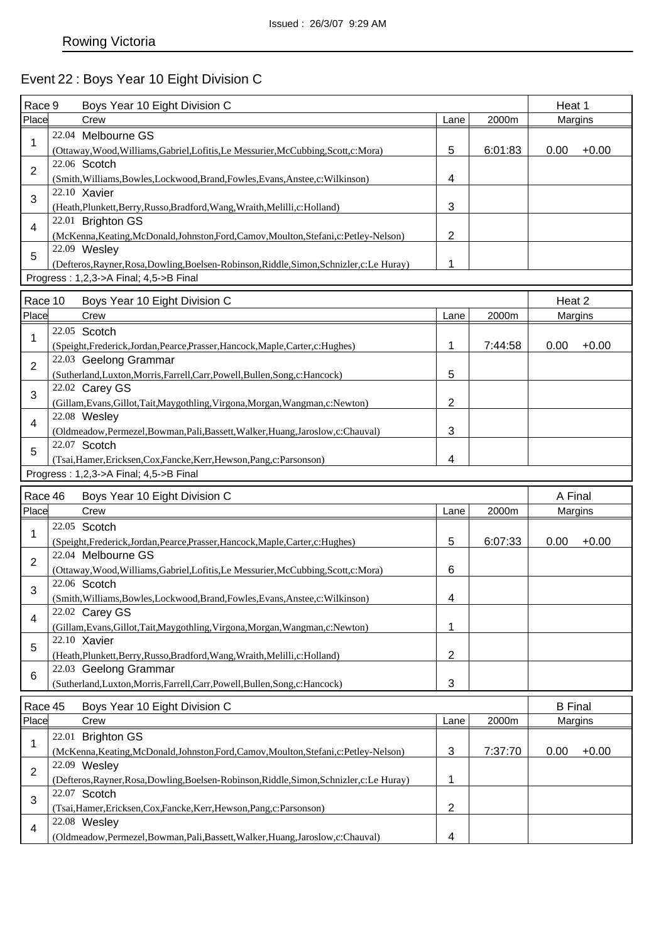# Event 22 : Boys Year 10 Eight Division C

| Race 9         | Boys Year 10 Eight Division C                                                                             |                           | Heat 1  |                |         |
|----------------|-----------------------------------------------------------------------------------------------------------|---------------------------|---------|----------------|---------|
| Place          | Crew                                                                                                      | Lane                      | 2000m   | Margins        |         |
|                | 22.04 Melbourne GS                                                                                        |                           |         |                |         |
| 1              | (Ottaway, Wood, Williams, Gabriel, Lofitis, Le Messurier, McCubbing, Scott, c: Mora)                      | 5                         | 6:01:83 | 0.00           | $+0.00$ |
|                | 22.06 Scotch                                                                                              |                           |         |                |         |
| 2              | (Smith, Williams, Bowles, Lockwood, Brand, Fowles, Evans, Anstee, c: Wilkinson)                           | 4                         |         |                |         |
|                | 22.10 Xavier                                                                                              |                           |         |                |         |
| 3              | (Heath, Plunkett, Berry, Russo, Bradford, Wang, Wraith, Melilli, c: Holland)                              | 3                         |         |                |         |
| $\overline{4}$ | 22.01 Brighton GS                                                                                         |                           |         |                |         |
|                | (McKenna, Keating, McDonald, Johnston, Ford, Camov, Moulton, Stefani, c: Petley-Nelson)                   | $\overline{2}$            |         |                |         |
| 5              | 22.09 Wesley                                                                                              |                           |         |                |         |
|                | (Defteros, Rayner, Rosa, Dowling, Boelsen-Robinson, Riddle, Simon, Schnizler, c: Le Huray)                | 1                         |         |                |         |
|                | Progress: 1,2,3->A Final; 4,5->B Final                                                                    |                           |         |                |         |
| Race 10        | Boys Year 10 Eight Division C                                                                             |                           |         | Heat 2         |         |
| Place          | Crew                                                                                                      | Lane                      | 2000m   | Margins        |         |
|                | 22.05 Scotch                                                                                              |                           |         |                |         |
| 1              |                                                                                                           | $\mathbf{1}$              | 7:44:58 | 0.00           | $+0.00$ |
|                | (Speight, Frederick, Jordan, Pearce, Prasser, Hancock, Maple, Carter, c: Hughes)<br>22.03 Geelong Grammar |                           |         |                |         |
| $\overline{2}$ | (Sutherland, Luxton, Morris, Farrell, Carr, Powell, Bullen, Song, c: Hancock)                             | 5                         |         |                |         |
|                | 22.02 Carey GS                                                                                            |                           |         |                |         |
| 3              | (Gillam, Evans, Gillot, Tait, Maygothling, Virgona, Morgan, Wangman, c: Newton)                           | $\overline{2}$            |         |                |         |
|                | 22.08 Wesley                                                                                              |                           |         |                |         |
| $\overline{4}$ | (Oldmeadow, Permezel, Bowman, Pali, Bassett, Walker, Huang, Jaroslow, c: Chauval)                         | 3                         |         |                |         |
|                | 22.07 Scotch                                                                                              |                           |         |                |         |
| 5              | (Tsai, Hamer, Ericksen, Cox, Fancke, Kerr, Hewson, Pang, c: Parsonson)                                    | 4                         |         |                |         |
|                | Progress: 1,2,3->A Final; 4,5->B Final                                                                    |                           |         |                |         |
|                |                                                                                                           |                           |         |                |         |
| Race 46        | Boys Year 10 Eight Division C                                                                             |                           |         | A Final        |         |
| Place          | Crew                                                                                                      | Lane                      | 2000m   | Margins        |         |
| 1              | 22.05 Scotch                                                                                              |                           |         |                |         |
|                | (Speight, Frederick, Jordan, Pearce, Prasser, Hancock, Maple, Carter, c: Hughes)                          | 5                         | 6:07:33 | 0.00           | $+0.00$ |
| $\overline{2}$ | 22.04 Melbourne GS                                                                                        |                           |         |                |         |
|                | (Ottaway, Wood, Williams, Gabriel, Lofitis, Le Messurier, McCubbing, Scott, c: Mora)                      | 6                         |         |                |         |
| 3              | 22.06 Scotch                                                                                              |                           |         |                |         |
|                | (Smith, Williams, Bowles, Lockwood, Brand, Fowles, Evans, Anstee, c: Wilkinson)                           | 4                         |         |                |         |
| 4              | 22.02 Carey GS                                                                                            |                           |         |                |         |
|                |                                                                                                           |                           |         |                |         |
|                | (Gillam, Evans, Gillot, Tait, Maygothling, Virgona, Morgan, Wangman, c: Newton)                           | 1                         |         |                |         |
| 5              | 22.10 Xavier                                                                                              |                           |         |                |         |
|                | (Heath, Plunkett, Berry, Russo, Bradford, Wang, Wraith, Melilli, c: Holland)                              | $\overline{2}$            |         |                |         |
| 6              | 22.03 Geelong Grammar                                                                                     |                           |         |                |         |
|                | (Sutherland, Luxton, Morris, Farrell, Carr, Powell, Bullen, Song, c: Hancock)                             | $\ensuremath{\mathsf{3}}$ |         |                |         |
| Race 45        | Boys Year 10 Eight Division C                                                                             |                           |         | <b>B</b> Final |         |
| Place          | Crew                                                                                                      | Lane                      | 2000m   | Margins        |         |
|                | 22.01 Brighton GS                                                                                         |                           |         |                |         |
| 1              | (McKenna, Keating, McDonald, Johnston, Ford, Camov, Moulton, Stefani, c: Petley-Nelson)                   | 3                         | 7:37:70 | 0.00           | $+0.00$ |
|                | 22.09 Wesley                                                                                              |                           |         |                |         |
| 2              | (Defteros, Rayner, Rosa, Dowling, Boelsen-Robinson, Riddle, Simon, Schnizler, c: Le Huray)                | 1                         |         |                |         |
|                | 22.07 Scotch                                                                                              |                           |         |                |         |
| 3              | (Tsai, Hamer, Ericksen, Cox, Fancke, Kerr, Hewson, Pang, c: Parsonson)                                    | $\overline{2}$            |         |                |         |
| 4              | 22.08 Wesley                                                                                              |                           |         |                |         |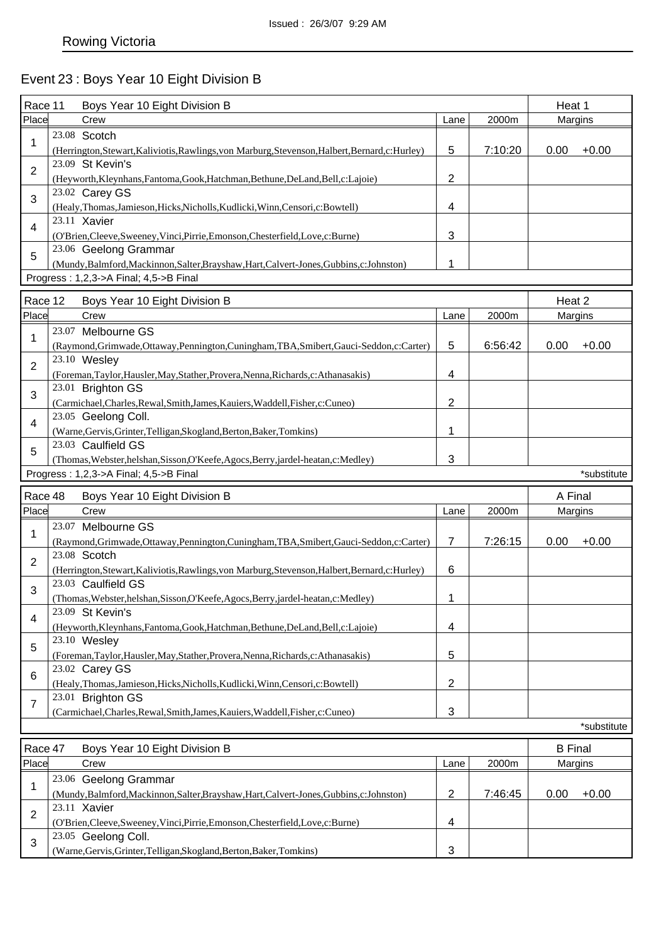# Event 23 : Boys Year 10 Eight Division B

| Race 11        | Boys Year 10 Eight Division B                                                                                              |                         |         | Heat 1         |             |
|----------------|----------------------------------------------------------------------------------------------------------------------------|-------------------------|---------|----------------|-------------|
| Place          | Crew                                                                                                                       | Lane                    | 2000m   | Margins        |             |
| 1              | 23.08 Scotch                                                                                                               |                         |         |                |             |
|                | (Herrington, Stewart, Kaliviotis, Rawlings, von Marburg, Stevenson, Halbert, Bernard, c: Hurley)                           | 5                       | 7:10:20 | 0.00           | $+0.00$     |
| $\overline{2}$ | 23.09 St Kevin's<br>(Heyworth, Kleynhans, Fantoma, Gook, Hatchman, Bethune, DeLand, Bell, c: Lajoie)                       | 2                       |         |                |             |
| 3              | 23.02 Carey GS                                                                                                             |                         |         |                |             |
|                | (Healy,Thomas,Jamieson,Hicks,Nicholls,Kudlicki,Winn,Censori,c:Bowtell)<br>23.11 Xavier                                     | 4                       |         |                |             |
| 4              | (O'Brien, Cleeve, Sweeney, Vinci, Pirrie, Emonson, Chesterfield, Love, c: Burne)                                           | 3                       |         |                |             |
| 5              | 23.06 Geelong Grammar                                                                                                      |                         |         |                |             |
|                | (Mundy,Balmford,Mackinnon,Salter,Brayshaw,Hart,Calvert-Jones,Gubbins,c:Johnston)<br>Progress: 1,2,3->A Final; 4,5->B Final | 1                       |         |                |             |
|                |                                                                                                                            |                         |         |                |             |
| Race 12        | Boys Year 10 Eight Division B                                                                                              |                         |         | Heat 2         |             |
| Place          | Crew                                                                                                                       | Lane                    | 2000m   | Margins        |             |
| 1              | 23.07 Melbourne GS                                                                                                         |                         |         |                |             |
|                | (Raymond, Grimwade, Ottaway, Pennington, Cuningham, TBA, Smibert, Gauci-Seddon, c: Carter)                                 | 5                       | 6:56:42 | 0.00           | $+0.00$     |
| $\overline{2}$ | 23.10 Wesley                                                                                                               |                         |         |                |             |
|                | (Foreman, Taylor, Hausler, May, Stather, Provera, Nenna, Richards, c: Athanasakis)<br>23.01 Brighton GS                    | 4                       |         |                |             |
| 3              | (Carmichael,Charles,Rewal,Smith,James,Kauiers,Waddell,Fisher,c:Cuneo)                                                      | 2                       |         |                |             |
|                | 23.05 Geelong Coll.                                                                                                        |                         |         |                |             |
| $\overline{4}$ | (Warne, Gervis, Grinter, Telligan, Skogland, Berton, Baker, Tomkins)                                                       | 1                       |         |                |             |
|                | 23.03 Caulfield GS                                                                                                         |                         |         |                |             |
| 5              | (Thomas, Webster, helshan, Sisson, O'Keefe, Agocs, Berry, jardel-heatan, c: Medley)                                        | 3                       |         |                |             |
|                | Progress: 1,2,3->A Final; 4,5->B Final                                                                                     |                         |         |                | *substitute |
|                |                                                                                                                            |                         |         |                |             |
|                |                                                                                                                            |                         |         |                |             |
| Race 48        | Boys Year 10 Eight Division B                                                                                              |                         |         | A Final        |             |
| Place          | Crew                                                                                                                       | Lane                    | 2000m   | Margins        |             |
| 1              | 23.07 Melbourne GS<br>(Raymond, Grimwade, Ottaway, Pennington, Cuningham, TBA, Smibert, Gauci-Seddon, c: Carter)           | 7                       | 7:26:15 | 0.00           | $+0.00$     |
|                | 23.08 Scotch                                                                                                               |                         |         |                |             |
| 2              | (Herrington, Stewart, Kaliviotis, Rawlings, von Marburg, Stevenson, Halbert, Bernard, c: Hurley)                           | 6                       |         |                |             |
| 3              | 23.03 Caulfield GS                                                                                                         |                         |         |                |             |
|                | (Thomas, Webster, helshan, Sisson, O'Keefe, Agocs, Berry, jardel-heatan, c: Medley)                                        | 1                       |         |                |             |
| 4              | 23.09 St Kevin's                                                                                                           |                         |         |                |             |
|                | (Heyworth, Kleynhans, Fantoma, Gook, Hatchman, Bethune, DeLand, Bell, c: Lajoie)                                           | $\overline{\mathbf{4}}$ |         |                |             |
| 5              | 23.10 Wesley                                                                                                               | 5                       |         |                |             |
|                | (Foreman, Taylor, Hausler, May, Stather, Provera, Nenna, Richards, c: Athanasakis)<br>23.02 Carey GS                       |                         |         |                |             |
| 6              | (Healy,Thomas,Jamieson,Hicks,Nicholls,Kudlicki,Winn,Censori,c:Bowtell)                                                     | 2                       |         |                |             |
|                | 23.01 Brighton GS                                                                                                          |                         |         |                |             |
| 7              | (Carmichael,Charles,Rewal,Smith,James,Kauiers,Waddell,Fisher,c:Cuneo)                                                      | 3                       |         |                |             |
|                |                                                                                                                            |                         |         |                | *substitute |
| Race 47        |                                                                                                                            |                         |         | <b>B</b> Final |             |
| Place          | Boys Year 10 Eight Division B<br>Crew                                                                                      | Lane                    | 2000m   | Margins        |             |
|                | 23.06 Geelong Grammar                                                                                                      |                         |         |                |             |
| 1              | (Mundy, Balmford, Mackinnon, Salter, Brayshaw, Hart, Calvert-Jones, Gubbins, c: Johnston)                                  | 2                       | 7:46:45 | 0.00           | $+0.00$     |
| $\overline{2}$ | 23.11 Xavier                                                                                                               |                         |         |                |             |
|                | (O'Brien, Cleeve, Sweeney, Vinci, Pirrie, Emonson, Chesterfield, Love, c: Burne)                                           | 4                       |         |                |             |
| 3              | 23.05 Geelong Coll.<br>(Warne, Gervis, Grinter, Telligan, Skogland, Berton, Baker, Tomkins)                                | 3                       |         |                |             |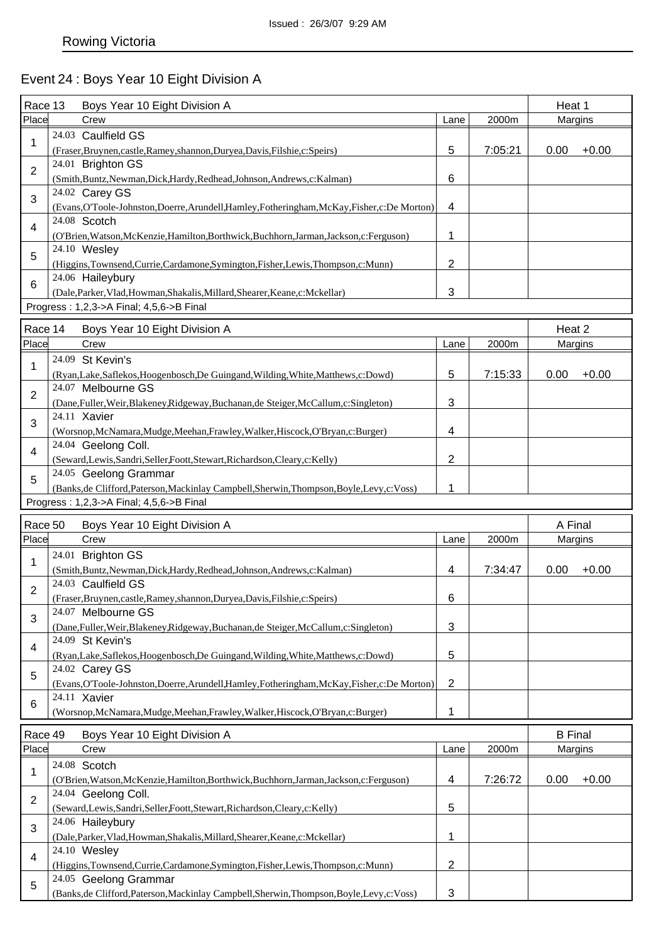# Event 24 : Boys Year 10 Eight Division A

| Race 13        | Boys Year 10 Eight Division A                                                                                        |                           |         | Heat 1                    |         |
|----------------|----------------------------------------------------------------------------------------------------------------------|---------------------------|---------|---------------------------|---------|
| Place          | Crew                                                                                                                 | Lane                      | 2000m   | Margins                   |         |
| 1              | 24.03 Caulfield GS<br>(Fraser, Bruynen, castle, Ramey, shannon, Duryea, Davis, Filshie, c: Speirs)                   | 5                         | 7:05:21 | 0.00                      | $+0.00$ |
| $\overline{2}$ | 24.01 Brighton GS                                                                                                    |                           |         |                           |         |
|                | (Smith,Buntz,Newman,Dick,Hardy,Redhead,Johnson,Andrews,c:Kalman)<br>24.02 Carey GS                                   | 6                         |         |                           |         |
| 3              | (Evans, O'Toole-Johnston, Doerre, Arundell, Hamley, Fotheringham, McKay, Fisher, c: De Morton)                       | 4                         |         |                           |         |
| $\overline{4}$ | 24.08 Scotch<br>(O'Brien, Watson, McKenzie, Hamilton, Borthwick, Buchhorn, Jarman, Jackson, c: Ferguson)             | 1                         |         |                           |         |
| 5              | 24.10 Wesley<br>(Higgins, Townsend, Currie, Cardamone, Symington, Fisher, Lewis, Thompson, c: Munn)                  | $\overline{2}$            |         |                           |         |
| 6              | 24.06 Haileybury<br>(Dale, Parker, Vlad, Howman, Shakalis, Millard, Shearer, Keane, c: Mckellar)                     | 3                         |         |                           |         |
|                | Progress: 1,2,3->A Final; 4,5,6->B Final                                                                             |                           |         |                           |         |
| Race 14        | Boys Year 10 Eight Division A                                                                                        |                           |         | Heat 2                    |         |
| Place          | Crew                                                                                                                 | Lane                      | 2000m   | Margins                   |         |
|                | 24.09 St Kevin's                                                                                                     |                           |         |                           |         |
| 1              | (Ryan,Lake,Saflekos,Hoogenbosch,De Guingand,Wilding,White,Matthews,c:Dowd)<br>24.07 Melbourne GS                     | 5                         | 7:15:33 | 0.00                      | $+0.00$ |
| $\overline{2}$ | (Dane, Fuller, Weir, Blakeney, Ridgeway, Buchanan, de Steiger, McCallum, c: Singleton)                               | 3                         |         |                           |         |
| 3              | 24.11 Xavier<br>(Worsnop, McNamara, Mudge, Meehan, Frawley, Walker, Hiscock, O'Bryan, c: Burger)                     | 4                         |         |                           |         |
| 4              | 24.04 Geelong Coll.<br>(Seward,Lewis,Sandri,Seller,Foott,Stewart,Richardson,Cleary,c:Kelly)                          | $\overline{2}$            |         |                           |         |
| 5              | 24.05 Geelong Grammar<br>(Banks, de Clifford, Paterson, Mackinlay Campbell, Sherwin, Thompson, Boyle, Levy, c: Voss) | 1                         |         |                           |         |
|                |                                                                                                                      |                           |         |                           |         |
|                |                                                                                                                      |                           |         |                           |         |
|                | Progress: 1,2,3->A Final; 4,5,6->B Final                                                                             |                           |         |                           |         |
| Race 50        | Boys Year 10 Eight Division A                                                                                        |                           |         | A Final                   |         |
| Place          | Crew                                                                                                                 | Lane                      | 2000m   | Margins                   |         |
| 1              | 24.01 Brighton GS                                                                                                    |                           |         |                           |         |
|                | (Smith, Buntz, Newman, Dick, Hardy, Redhead, Johnson, Andrews, c: Kalman)<br>24.03 Caulfield GS                      | $\overline{4}$            | 7:34:47 | 0.00                      | $+0.00$ |
| $\overline{2}$ | (Fraser, Bruynen, castle, Ramey, shannon, Duryea, Davis, Filshie, c: Speirs)                                         | 6                         |         |                           |         |
| 3              | 24.07 Melbourne GS<br>(Dane,Fuller,Weir,Blakeney,Ridgeway,Buchanan,de Steiger,McCallum,c:Singleton)                  | $\ensuremath{\mathsf{3}}$ |         |                           |         |
| 4              | 24.09 St Kevin's<br>(Ryan,Lake,Saflekos,Hoogenbosch,De Guingand,Wilding,White,Matthews,c:Dowd)                       | 5                         |         |                           |         |
| 5              | 24.02 Carey GS                                                                                                       |                           |         |                           |         |
|                | (Evans, O'Toole-Johnston, Doerre, Arundell, Hamley, Fotheringham, McKay, Fisher, c: De Morton)<br>24.11 Xavier       | $\overline{2}$            |         |                           |         |
| 6              | (Worsnop, McNamara, Mudge, Meehan, Frawley, Walker, Hiscock, O'Bryan, c: Burger)                                     | 1                         |         |                           |         |
| Race 49        |                                                                                                                      |                           |         |                           |         |
| Place          | Boys Year 10 Eight Division A<br>Crew                                                                                | Lane                      | 2000m   | <b>B</b> Final<br>Margins |         |
|                |                                                                                                                      |                           |         |                           |         |
| 1              | 24.08 Scotch<br>(O'Brien, Watson, McKenzie, Hamilton, Borthwick, Buchhorn, Jarman, Jackson, c: Ferguson)             | $\overline{\mathbf{4}}$   | 7:26:72 | 0.00                      | $+0.00$ |
| $\overline{2}$ | 24.04 Geelong Coll.                                                                                                  |                           |         |                           |         |
| 3              | (Seward,Lewis,Sandri,Seller,Foott,Stewart,Richardson,Cleary,c:Kelly)<br>24.06 Haileybury                             | 5<br>1                    |         |                           |         |
| 4              | (Dale, Parker, Vlad, Howman, Shakalis, Millard, Shearer, Keane, c: Mckellar)<br>24.10 Wesley                         |                           |         |                           |         |
| 5              | (Higgins,Townsend,Currie,Cardamone,Symington,Fisher,Lewis,Thompson,c:Munn)<br>24.05 Geelong Grammar                  | $\overline{2}$            |         |                           |         |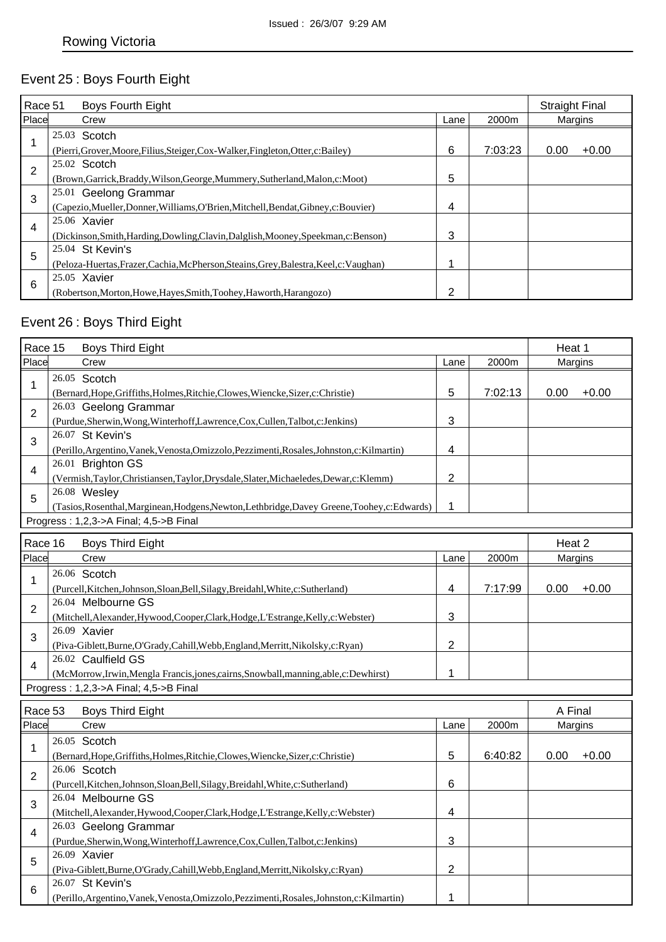# Event 25 : Boys Fourth Eight

| Race 51 | Boys Fourth Eight                                                                      |      |         | <b>Straight Final</b> |         |
|---------|----------------------------------------------------------------------------------------|------|---------|-----------------------|---------|
| Place   | Crew                                                                                   | Lane | 2000m   | Margins               |         |
|         | 25.03 Scotch                                                                           |      |         |                       |         |
|         | (Pierri, Grover, Moore, Filius, Steiger, Cox-Walker, Fingleton, Otter, c: Bailey)      | 6    | 7:03:23 | 0.00                  | $+0.00$ |
| 2       | 25.02 Scotch                                                                           |      |         |                       |         |
|         | (Brown, Garrick, Braddy, Wilson, George, Mummery, Sutherland, Malon, c: Moot)          | 5    |         |                       |         |
| 3       | 25.01 Geelong Grammar                                                                  |      |         |                       |         |
|         | (Capezio, Mueller, Donner, Williams, O'Brien, Mitchell, Bendat, Gibney, c: Bouvier)    | 4    |         |                       |         |
| 4       | 25.06 Xavier                                                                           |      |         |                       |         |
|         | (Dickinson, Smith, Harding, Dowling, Clavin, Dalglish, Mooney, Speekman, c: Benson)    | 3    |         |                       |         |
| 5       | 25.04 St Kevin's                                                                       |      |         |                       |         |
|         | (Peloza-Huertas, Frazer, Cachia, McPherson, Steains, Grey, Balestra, Keel, c: Vaughan) | ٠    |         |                       |         |
| 6       | 25.05 Xavier                                                                           |      |         |                       |         |
|         | (Robertson, Morton, Howe, Hayes, Smith, Toohey, Haworth, Harangozo)                    | 2    |         |                       |         |

## Event 26 : Boys Third Eight

|         | Race 15<br><b>Boys Third Eight</b>                                                            |                |         |         | Heat 1  |  |
|---------|-----------------------------------------------------------------------------------------------|----------------|---------|---------|---------|--|
| Place   | Crew                                                                                          | Lane           | 2000m   | Margins |         |  |
| 1       | 26.05 Scotch                                                                                  |                |         |         |         |  |
|         | (Bernard, Hope, Griffiths, Holmes, Ritchie, Clowes, Wiencke, Sizer, c: Christie)              | 5              | 7:02:13 | 0.00    | $+0.00$ |  |
| 2       | 26.03 Geelong Grammar                                                                         |                |         |         |         |  |
|         | (Purdue, Sherwin, Wong, Winterhoff, Lawrence, Cox, Cullen, Talbot, c: Jenkins)                | 3              |         |         |         |  |
| 3       | 26.07 St Kevin's                                                                              |                |         |         |         |  |
|         | (Perillo, Argentino, Vanek, Venosta, Omizzolo, Pezzimenti, Rosales, Johnston, c: Kilmartin)   | 4              |         |         |         |  |
| 4       | 26.01 Brighton GS                                                                             |                |         |         |         |  |
|         | (Vermish, Taylor, Christiansen, Taylor, Drysdale, Slater, Michaeledes, Dewar, c: Klemm)       | $\overline{2}$ |         |         |         |  |
| 5       | 26.08 Wesley                                                                                  |                |         |         |         |  |
|         | (Tasios, Rosenthal, Marginean, Hodgens, Newton, Lethbridge, Davey Greene, Toohey, c: Edwards) | 1              |         |         |         |  |
|         | Progress: 1,2,3->A Final; 4,5->B Final                                                        |                |         |         |         |  |
| Race 16 | <b>Boys Third Eight</b>                                                                       |                |         | Heat 2  |         |  |
| Place   | Crew                                                                                          | Lane           | 2000m   | Margins |         |  |
|         | 26.06 Scotch                                                                                  |                |         |         |         |  |
| 1       | (Purcell, Kitchen, Johnson, Sloan, Bell, Silagy, Breidahl, White, c: Sutherland)              | 4              | 7:17:99 | 0.00    | $+0.00$ |  |
|         | 26.04 Melbourne GS                                                                            |                |         |         |         |  |
| 2       | (Mitchell, Alexander, Hywood, Cooper, Clark, Hodge, L'Estrange, Kelly, c: Webster)            | 3              |         |         |         |  |
| 3       | 26.09 Xavier                                                                                  |                |         |         |         |  |
|         | (Piva-Giblett,Burne,O'Grady,Cahill,Webb,England,Merritt,Nikolsky,c:Ryan)                      | $\overline{c}$ |         |         |         |  |
| 4       | 26.02 Caulfield GS                                                                            |                |         |         |         |  |
|         | (McMorrow,Irwin,Mengla Francis,jones,cairns,Snowball,manning,able,c:Dewhirst)                 | 1              |         |         |         |  |
|         | Progress: 1,2,3->A Final; 4,5->B Final                                                        |                |         |         |         |  |
| Race 53 | <b>Boys Third Eight</b>                                                                       |                |         | A Final |         |  |
| Place   | Crew                                                                                          | Lane           | 2000m   | Margins |         |  |
|         | 26.05 Scotch                                                                                  |                |         |         |         |  |
| 1       | (Bernard, Hope, Griffiths, Holmes, Ritchie, Clowes, Wiencke, Sizer, c: Christie)              | 5              | 6:40:82 | 0.00    | $+0.00$ |  |
|         | 26.06 Scotch                                                                                  |                |         |         |         |  |
| 2       | (Purcell, Kitchen, Johnson, Sloan, Bell, Silagy, Breidahl, White, c: Sutherland)              | 6              |         |         |         |  |
| 3       | 26.04 Melbourne GS                                                                            |                |         |         |         |  |
|         | (Mitchell, Alexander, Hywood, Cooper, Clark, Hodge, L'Estrange, Kelly, c: Webster)            | 4              |         |         |         |  |
| 4       | 26.03 Geelong Grammar                                                                         |                |         |         |         |  |
|         | (Purdue, Sherwin, Wong, Winterhoff, Lawrence, Cox, Cullen, Talbot, c: Jenkins)                | 3              |         |         |         |  |
| 5       | 26.09 Xavier                                                                                  |                |         |         |         |  |
|         | (Piva-Giblett,Burne,O'Grady,Cahill,Webb,England,Merritt,Nikolsky,c:Ryan)                      | $\overline{c}$ |         |         |         |  |
| 6       | 26.07 St Kevin's                                                                              |                |         |         |         |  |
|         | (Perillo, Argentino, Vanek, Venosta, Omizzolo, Pezzimenti, Rosales, Johnston, c: Kilmartin)   | 1              |         |         |         |  |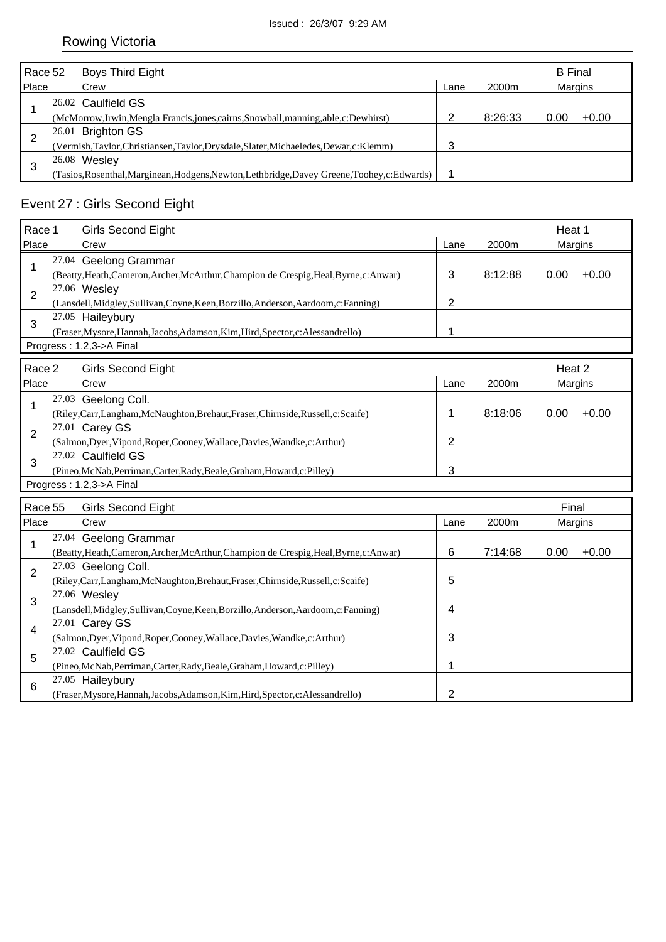|               | Race 52<br><b>Boys Third Eight</b>                                                           |      |         |                | <b>B</b> Final |  |
|---------------|----------------------------------------------------------------------------------------------|------|---------|----------------|----------------|--|
| Place<br>Crew |                                                                                              | Lane | 2000m   | <b>Margins</b> |                |  |
|               | 26.02 Caulfield GS                                                                           |      |         |                |                |  |
|               | (McMorrow, Irwin, Mengla Francis, jones, cairns, Snowball, manning, able, c: Dewhirst)       | ⌒    | 8:26:33 | 0.00           | $+0.00$        |  |
| 2             | 26.01 Brighton GS                                                                            |      |         |                |                |  |
|               | (Vermish, Taylor, Christiansen, Taylor, Drysdale, Slater, Michaeledes, Dewar, c: Klemm)      | 3    |         |                |                |  |
|               | 26.08 Wesley                                                                                 |      |         |                |                |  |
| 3             | Tasios, Rosenthal, Marginean, Hodgens, Newton, Lethbridge, Davey Greene, Toohey, c: Edwards) |      |         |                |                |  |

# Event 27 : Girls Second Eight

| Race 1         | <b>Girls Second Eight</b>                                                                                       |                |         | Heat 1  |         |
|----------------|-----------------------------------------------------------------------------------------------------------------|----------------|---------|---------|---------|
| Place          | Crew                                                                                                            | Lane           | 2000m   | Margins |         |
| 1              | 27.04 Geelong Grammar<br>(Beatty, Heath, Cameron, Archer, McArthur, Champion de Crespig, Heal, Byrne, c: Anwar) | 3              | 8:12:88 | 0.00    | $+0.00$ |
| $\overline{2}$ | 27.06 Wesley<br>(Lansdell, Midgley, Sullivan, Coyne, Keen, Borzillo, Anderson, Aardoom, c: Fanning)             | $\overline{2}$ |         |         |         |
| 3              | 27.05 Haileybury<br>(Fraser, Mysore, Hannah, Jacobs, Adamson, Kim, Hird, Spector, c: Alessandrello)             | 1              |         |         |         |
|                | Progress: 1,2,3->A Final                                                                                        |                |         |         |         |
| Race 2         | <b>Girls Second Eight</b>                                                                                       |                |         | Heat 2  |         |
| Place          | Crew                                                                                                            | Lane           | 2000m   | Margins |         |
| 1              | 27.03 Geelong Coll.<br>(Riley,Carr,Langham,McNaughton,Brehaut,Fraser,Chirnside,Russell,c:Scaife)                | 1              | 8:18:06 | 0.00    | $+0.00$ |
| $\overline{2}$ | 27.01 Carey GS<br>(Salmon, Dyer, Vipond, Roper, Cooney, Wallace, Davies, Wandke, c: Arthur)                     | 2              |         |         |         |
| 3              | 27.02 Caulfield GS<br>(Pineo, McNab, Perriman, Carter, Rady, Beale, Graham, Howard, c: Pilley)                  | 3              |         |         |         |
|                | Progress: 1,2,3->A Final                                                                                        |                |         |         |         |
| Race 55        | Girls Second Eight                                                                                              |                |         | Final   |         |
| Place          | Crew                                                                                                            | Lane           | 2000m   | Margins |         |
| 1              | 27.04 Geelong Grammar<br>(Beatty, Heath, Cameron, Archer, McArthur, Champion de Crespig, Heal, Byrne, c: Anwar) | 6              | 7:14:68 | 0.00    | $+0.00$ |
| $\overline{2}$ | 27.03 Geelong Coll.<br>(Riley,Carr,Langham,McNaughton,Brehaut,Fraser,Chirnside,Russell,c:Scaife)                | 5              |         |         |         |
| 3              | 27.06 Wesley<br>(Lansdell, Midgley, Sullivan, Coyne, Keen, Borzillo, Anderson, Aardoom, c: Fanning)             | 4              |         |         |         |
| 4              | 27.01 Carey GS<br>(Salmon, Dyer, Vipond, Roper, Cooney, Wallace, Davies, Wandke, c: Arthur)                     | 3              |         |         |         |
| 5              | 27.02 Caulfield GS<br>(Pineo, McNab, Perriman, Carter, Rady, Beale, Graham, Howard, c: Pilley)                  | 1              |         |         |         |
| 6              | 27.05 Haileybury<br>(Fraser, Mysore, Hannah, Jacobs, Adamson, Kim, Hird, Spector, c: Alessandrello)             | 2              |         |         |         |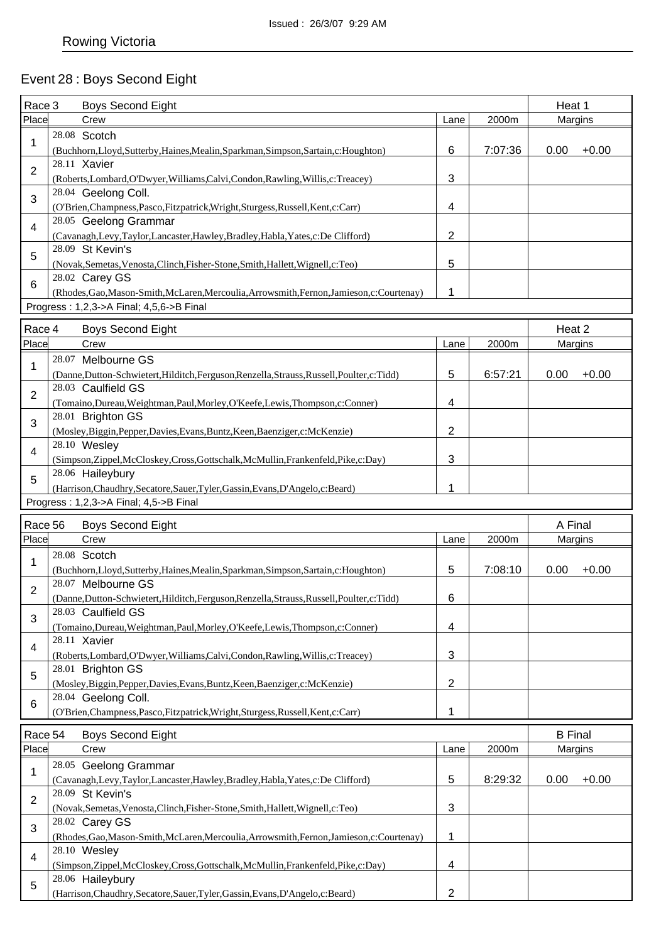# Event 28 : Boys Second Eight

| Race 3         | <b>Boys Second Eight</b>                                                                            |                |         | Heat 1         |         |
|----------------|-----------------------------------------------------------------------------------------------------|----------------|---------|----------------|---------|
| Place          | Crew                                                                                                | Lane           | 2000m   |                | Margins |
|                | 28.08 Scotch                                                                                        |                |         |                |         |
| 1              | (Buchhorn,Lloyd,Sutterby,Haines,Mealin,Sparkman,Simpson,Sartain,c:Houghton)                         | 6              | 7:07:36 | 0.00           | $+0.00$ |
|                | 28.11 Xavier                                                                                        |                |         |                |         |
| 2              | (Roberts,Lombard,O'Dwyer,Williams,Calvi,Condon,Rawling,Willis,c:Treacey)                            | 3              |         |                |         |
|                | 28.04 Geelong Coll.                                                                                 |                |         |                |         |
| 3              | (O'Brien, Champness, Pasco, Fitzpatrick, Wright, Sturgess, Russell, Kent, c: Carr)                  | 4              |         |                |         |
|                | 28.05 Geelong Grammar                                                                               |                |         |                |         |
| 4              | (Cavanagh,Levy,Taylor,Lancaster,Hawley,Bradley,Habla,Yates,c:De Clifford)                           | $\overline{2}$ |         |                |         |
|                | 28.09 St Kevin's                                                                                    |                |         |                |         |
| 5              | (Novak, Semetas, Venosta, Clinch, Fisher-Stone, Smith, Hallett, Wignell, c: Teo)                    | 5              |         |                |         |
|                | 28.02 Carey GS                                                                                      |                |         |                |         |
| 6              | (Rhodes, Gao, Mason-Smith, McLaren, Mercoulia, Arrowsmith, Fernon, Jamieson, c: Courtenay)          | 1              |         |                |         |
|                | Progress: 1,2,3->A Final; 4,5,6->B Final                                                            |                |         |                |         |
|                |                                                                                                     |                |         |                |         |
| Race 4         | <b>Boys Second Eight</b>                                                                            |                |         | Heat 2         |         |
| Place          | Crew                                                                                                | Lane           | 2000m   | Margins        |         |
| 1              | 28.07 Melbourne GS                                                                                  |                |         |                |         |
|                | (Danne, Dutton-Schwietert, Hilditch, Ferguson, Renzella, Strauss, Russell, Poulter, c: Tidd)        | 5              | 6:57:21 | 0.00           | $+0.00$ |
| 2              | 28.03 Caulfield GS                                                                                  |                |         |                |         |
|                | (Tomaino, Dureau, Weightman, Paul, Morley, O'Keefe, Lewis, Thompson, c: Conner)                     | 4              |         |                |         |
| 3              | 28.01 Brighton GS                                                                                   |                |         |                |         |
|                | (Mosley, Biggin, Pepper, Davies, Evans, Buntz, Keen, Baenziger, c: McKenzie)                        | $\overline{2}$ |         |                |         |
| 4              | 28.10 Wesley                                                                                        |                |         |                |         |
|                | (Simpson,Zippel,McCloskey,Cross,Gottschalk,McMullin,Frankenfeld,Pike,c:Day)                         | 3              |         |                |         |
| 5              | 28.06 Haileybury                                                                                    |                |         |                |         |
|                | (Harrison, Chaudhry, Secatore, Sauer, Tyler, Gassin, Evans, D'Angelo, c: Beard)                     | 1              |         |                |         |
|                | Progress: 1,2,3->A Final; 4,5->B Final                                                              |                |         |                |         |
| Race 56        | <b>Boys Second Eight</b>                                                                            |                |         | A Final        |         |
| Place          | Crew                                                                                                | Lane           | 2000m   |                | Margins |
|                | 28.08 Scotch                                                                                        |                |         |                |         |
| 1              | (Buchhorn,Lloyd,Sutterby,Haines,Mealin,Sparkman,Simpson,Sartain,c:Houghton)                         | 5              | 7:08:10 | 0.00           | $+0.00$ |
|                | 28.07 Melbourne GS                                                                                  |                |         |                |         |
| $\overline{2}$ | (Danne,Dutton-Schwietert,Hilditch,Ferguson,Renzella,Strauss,Russell,Poulter,c:Tidd)                 | 6              |         |                |         |
|                | 28.03 Caulfield GS                                                                                  |                |         |                |         |
| 3              |                                                                                                     |                |         |                |         |
|                |                                                                                                     | 4              |         |                |         |
| 4              | (Tomaino, Dureau, Weightman, Paul, Morley, O'Keefe, Lewis, Thompson, c: Conner)<br>28.11 Xavier     |                |         |                |         |
|                |                                                                                                     | 3              |         |                |         |
|                | (Roberts,Lombard,O'Dwyer,Williams,Calvi,Condon,Rawling,Willis,c:Treacey)<br>28.01 Brighton GS       |                |         |                |         |
| 5              |                                                                                                     | $\overline{2}$ |         |                |         |
|                | (Mosley, Biggin, Pepper, Davies, Evans, Buntz, Keen, Baenziger, c: McKenzie)<br>28.04 Geelong Coll. |                |         |                |         |
| 6              |                                                                                                     | 1              |         |                |         |
|                | (O'Brien, Champness, Pasco, Fitzpatrick, Wright, Sturgess, Russell, Kent, c: Carr)                  |                |         |                |         |
| Race 54        | <b>Boys Second Eight</b>                                                                            |                |         | <b>B</b> Final |         |
| Place          | Crew                                                                                                | Lane           | 2000m   |                | Margins |
| 1              | 28.05 Geelong Grammar                                                                               |                |         |                |         |
|                | (Cavanagh,Levy,Taylor,Lancaster,Hawley,Bradley,Habla,Yates,c:De Clifford)                           | 5              | 8:29:32 | 0.00           | $+0.00$ |
| 2              | 28.09 St Kevin's                                                                                    |                |         |                |         |
|                | (Novak, Semetas, Venosta, Clinch, Fisher-Stone, Smith, Hallett, Wignell, c: Teo)                    | 3              |         |                |         |
| 3              | 28.02 Carey GS                                                                                      |                |         |                |         |
|                | (Rhodes, Gao, Mason-Smith, McLaren, Mercoulia, Arrowsmith, Fernon, Jamieson, c: Courtenay)          | 1              |         |                |         |
| 4              | 28.10 Wesley                                                                                        |                |         |                |         |
|                | (Simpson,Zippel,McCloskey,Cross,Gottschalk,McMullin,Frankenfeld,Pike,c:Day)                         | 4              |         |                |         |
| 5              | 28.06 Haileybury<br>(Harrison, Chaudhry, Secatore, Sauer, Tyler, Gassin, Evans, D'Angelo, c: Beard) | $\overline{2}$ |         |                |         |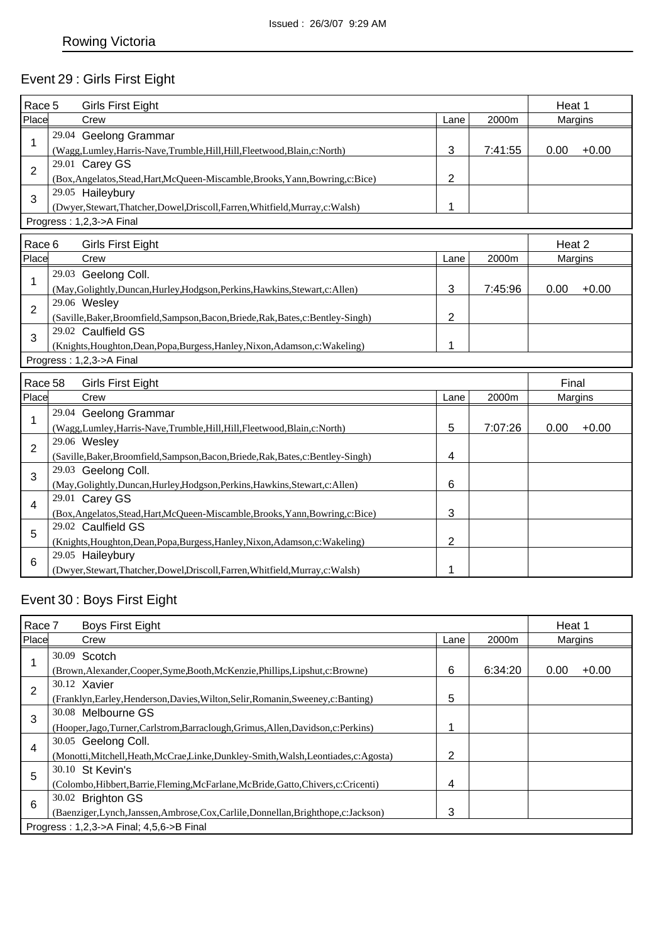# Event 29 : Girls First Eight

| Race 5         |              | <b>Girls First Eight</b>                                                           |                |         | Heat 1  |         |
|----------------|--------------|------------------------------------------------------------------------------------|----------------|---------|---------|---------|
| Place          |              | Crew                                                                               | Lane           | 2000m   | Margins |         |
| 1              |              | 29.04 Geelong Grammar                                                              |                |         |         |         |
|                |              | (Wagg,Lumley,Harris-Nave,Trumble,Hill,Hill,Fleetwood,Blain,c:North)                | 3              | 7:41:55 | 0.00    | $+0.00$ |
| $\overline{2}$ |              | 29.01 Carey GS                                                                     |                |         |         |         |
|                |              | (Box, Angelatos, Stead, Hart, McQueen-Miscamble, Brooks, Yann, Bowring, c: Bice)   | $\overline{2}$ |         |         |         |
| 3              |              | 29.05 Haileybury                                                                   |                |         |         |         |
|                |              | (Dwyer, Stewart, Thatcher, Dowel, Driscoll, Farren, Whitfield, Murray, c: Walsh)   | 1              |         |         |         |
|                |              | Progress: 1,2,3->A Final                                                           |                |         |         |         |
| Race 6         |              | <b>Girls First Eight</b>                                                           |                |         | Heat 2  |         |
| Place          |              | Crew                                                                               | Lane           | 2000m   | Margins |         |
|                |              | 29.03 Geelong Coll.                                                                |                |         |         |         |
| 1              |              | (May, Golightly, Duncan, Hurley, Hodgson, Perkins, Hawkins, Stewart, c: Allen)     | $\mathbf{3}$   | 7:45:96 | 0.00    | $+0.00$ |
| $\overline{2}$ | 29.06 Wesley |                                                                                    |                |         |         |         |
|                |              | (Saville, Baker, Broomfield, Sampson, Bacon, Briede, Rak, Bates, c: Bentley-Singh) | 2              |         |         |         |
| 3              |              | 29.02 Caulfield GS                                                                 |                |         |         |         |
|                |              | (Knights, Houghton, Dean, Popa, Burgess, Hanley, Nixon, Adamson, c: Wakeling)      | 1              |         |         |         |
|                |              | Progress: 1,2,3->A Final                                                           |                |         |         |         |
| Race 58        |              | <b>Girls First Eight</b>                                                           |                |         | Final   |         |
| Place          |              | Crew                                                                               | Lane           | 2000m   | Margins |         |
|                |              | 29.04 Geelong Grammar                                                              |                |         |         |         |
| 1              |              | (Wagg,Lumley,Harris-Nave,Trumble,Hill,Hill,Fleetwood,Blain,c:North)                | 5              | 7:07:26 | 0.00    | $+0.00$ |
|                | 29.06 Wesley |                                                                                    |                |         |         |         |
| $\overline{2}$ |              | (Saville, Baker, Broomfield, Sampson, Bacon, Briede, Rak, Bates, c: Bentley-Singh) | 4              |         |         |         |
| 3              |              | 29.03 Geelong Coll.                                                                |                |         |         |         |
|                |              | (May, Golightly, Duncan, Hurley, Hodgson, Perkins, Hawkins, Stewart, c: Allen)     | 6              |         |         |         |
| $\overline{4}$ |              | 29.01 Carey GS                                                                     |                |         |         |         |
|                |              | (Box, Angelatos, Stead, Hart, McQueen-Miscamble, Brooks, Yann, Bowring, c: Bice)   | 3              |         |         |         |
| 5              |              | 29.02 Caulfield GS                                                                 |                |         |         |         |
|                |              | (Knights, Houghton, Dean, Popa, Burgess, Hanley, Nixon, Adamson, c: Wakeling)      | 2              |         |         |         |
| 6              |              | 29.05 Haileybury                                                                   |                |         |         |         |
|                |              | (Dwyer,Stewart,Thatcher,Dowel,Driscoll,Farren,Whitfield,Murray,c:Walsh)            | 1              |         |         |         |

# Event 30 : Boys First Eight

| Race 7 |  | <b>Boys First Eight</b>                                                                |      |         |         | Heat 1  |
|--------|--|----------------------------------------------------------------------------------------|------|---------|---------|---------|
| Place  |  | Crew                                                                                   | Lane | 2000m   | Margins |         |
|        |  | 30.09 Scotch                                                                           |      |         |         |         |
|        |  | (Brown, Alexander, Cooper, Syme, Booth, McKenzie, Phillips, Lipshut, c: Browne)        | 6    | 6:34:20 | 0.00    | $+0.00$ |
| 2      |  | 30.12 Xavier                                                                           |      |         |         |         |
|        |  | (Franklyn, Earley, Henderson, Davies, Wilton, Selir, Romanin, Sweeney, c: Banting)     | 5    |         |         |         |
| 3      |  | 30.08 Melbourne GS                                                                     |      |         |         |         |
|        |  | (Hooper, Jago, Turner, Carlstrom, Barraclough, Grimus, Allen, Davidson, c: Perkins)    |      |         |         |         |
| 4      |  | 30.05 Geelong Coll.                                                                    |      |         |         |         |
|        |  | (Monotti, Mitchell, Heath, McCrae, Linke, Dunkley-Smith, Walsh, Leontiades, c: Agosta) | 2    |         |         |         |
| 5      |  | 30.10 St Kevin's                                                                       |      |         |         |         |
|        |  | (Colombo, Hibbert, Barrie, Fleming, McFarlane, McBride, Gatto, Chivers, c: Cricenti)   | 4    |         |         |         |
| 6      |  | 30.02 Brighton GS                                                                      |      |         |         |         |
|        |  | (Baenziger,Lynch,Janssen,Ambrose,Cox,Carlile,Donnellan,Brighthope,c:Jackson)           | 3    |         |         |         |
|        |  | Progress: 1,2,3->A Final; 4,5,6->B Final                                               |      |         |         |         |